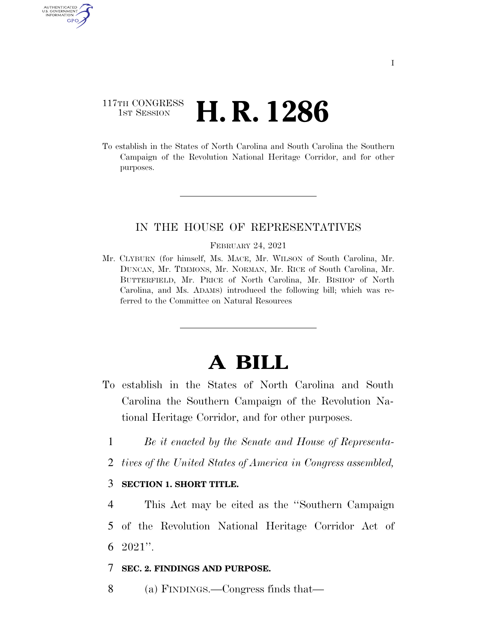## 117TH CONGRESS **1st Session H. R. 1286**

AUTHENTICATE U.S. GOVERNMENT GPO

> To establish in the States of North Carolina and South Carolina the Southern Campaign of the Revolution National Heritage Corridor, and for other purposes.

#### IN THE HOUSE OF REPRESENTATIVES

#### FEBRUARY 24, 2021

Mr. CLYBURN (for himself, Ms. MACE, Mr. WILSON of South Carolina, Mr. DUNCAN, Mr. TIMMONS, Mr. NORMAN, Mr. RICE of South Carolina, Mr. BUTTERFIELD, Mr. PRICE of North Carolina, Mr. BISHOP of North Carolina, and Ms. ADAMS) introduced the following bill; which was referred to the Committee on Natural Resources

# **A BILL**

- To establish in the States of North Carolina and South Carolina the Southern Campaign of the Revolution National Heritage Corridor, and for other purposes.
	- 1 *Be it enacted by the Senate and House of Representa-*
	- 2 *tives of the United States of America in Congress assembled,*

#### 3 **SECTION 1. SHORT TITLE.**

4 This Act may be cited as the ''Southern Campaign

5 of the Revolution National Heritage Corridor Act of 6 2021''.

- 7 **SEC. 2. FINDINGS AND PURPOSE.**
- 8 (a) FINDINGS.—Congress finds that—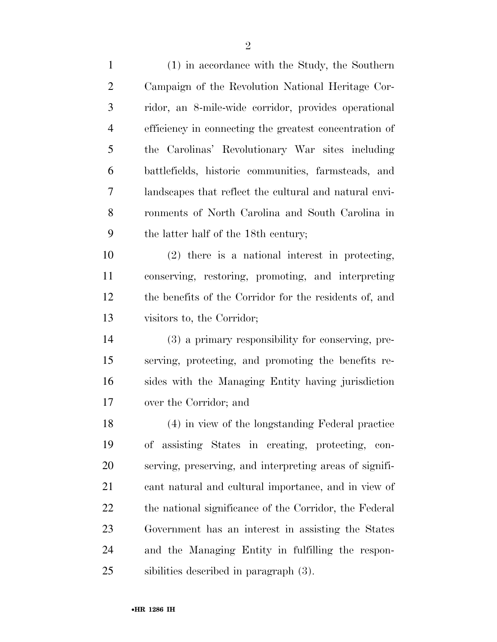(1) in accordance with the Study, the Southern Campaign of the Revolution National Heritage Cor- ridor, an 8-mile-wide corridor, provides operational efficiency in connecting the greatest concentration of the Carolinas' Revolutionary War sites including battlefields, historic communities, farmsteads, and landscapes that reflect the cultural and natural envi- ronments of North Carolina and South Carolina in the latter half of the 18th century; (2) there is a national interest in protecting, conserving, restoring, promoting, and interpreting the benefits of the Corridor for the residents of, and visitors to, the Corridor; (3) a primary responsibility for conserving, pre- serving, protecting, and promoting the benefits re- sides with the Managing Entity having jurisdiction over the Corridor; and (4) in view of the longstanding Federal practice of assisting States in creating, protecting, con- serving, preserving, and interpreting areas of signifi- cant natural and cultural importance, and in view of 22 the national significance of the Corridor, the Federal Government has an interest in assisting the States and the Managing Entity in fulfilling the respon-sibilities described in paragraph (3).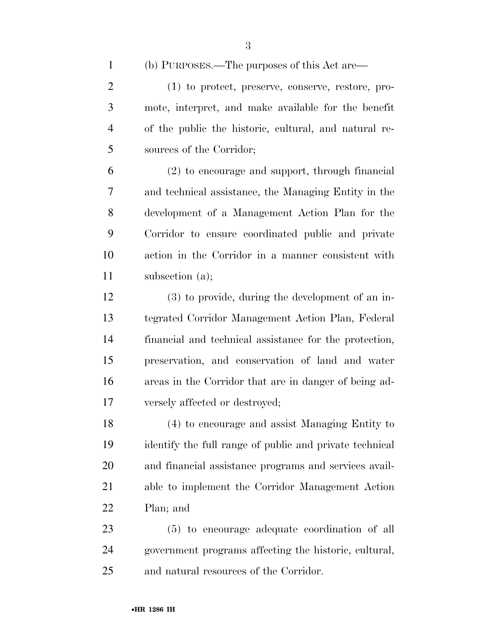(b) PURPOSES.—The purposes of this Act are—

 (1) to protect, preserve, conserve, restore, pro- mote, interpret, and make available for the benefit of the public the historic, cultural, and natural re-sources of the Corridor;

 (2) to encourage and support, through financial and technical assistance, the Managing Entity in the development of a Management Action Plan for the Corridor to ensure coordinated public and private action in the Corridor in a manner consistent with subsection (a);

 (3) to provide, during the development of an in- tegrated Corridor Management Action Plan, Federal financial and technical assistance for the protection, preservation, and conservation of land and water areas in the Corridor that are in danger of being ad-versely affected or destroyed;

 (4) to encourage and assist Managing Entity to identify the full range of public and private technical and financial assistance programs and services avail- able to implement the Corridor Management Action Plan; and

 (5) to encourage adequate coordination of all government programs affecting the historic, cultural, and natural resources of the Corridor.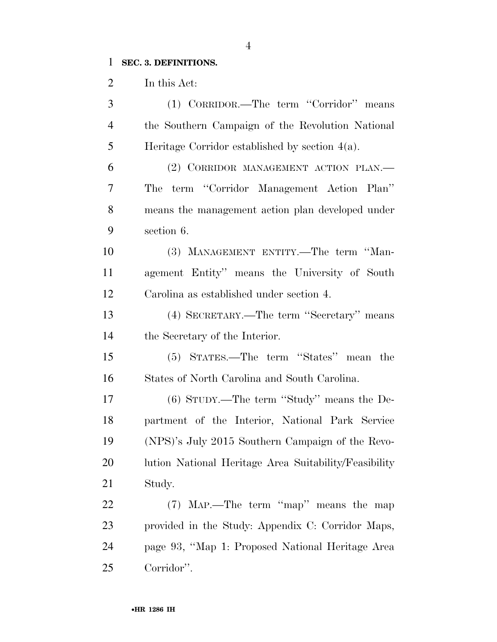## **SEC. 3. DEFINITIONS.**

In this Act:

| 3              | (1) CORRIDOR.—The term "Corridor" means               |
|----------------|-------------------------------------------------------|
| $\overline{4}$ | the Southern Campaign of the Revolution National      |
| 5              | Heritage Corridor established by section $4(a)$ .     |
| 6              | (2) CORRIDOR MANAGEMENT ACTION PLAN.                  |
| 7              | term "Corridor Management Action Plan"<br>The         |
| 8              | means the management action plan developed under      |
| 9              | section 6.                                            |
| 10             | (3) MANAGEMENT ENTITY.—The term "Man-                 |
| 11             | agement Entity" means the University of South         |
| 12             | Carolina as established under section 4.              |
| 13             | (4) SECRETARY.—The term "Secretary" means             |
| 14             | the Secretary of the Interior.                        |
| 15             | (5) STATES.—The term "States" mean the                |
| 16             | States of North Carolina and South Carolina.          |
| 17             | $(6)$ STUDY.—The term "Study" means the De-           |
| 18             | partment of the Interior, National Park Service       |
| 19             | (NPS)'s July 2015 Southern Campaign of the Revo-      |
| 20             | lution National Heritage Area Suitability/Feasibility |
| 21             | Study.                                                |
| 22             | (7) MAP.—The term "map" means the map                 |
| 23             | provided in the Study: Appendix C: Corridor Maps,     |
| 24             | page 93, "Map 1: Proposed National Heritage Area      |
| 25             | Corridor".                                            |

•**HR 1286 IH**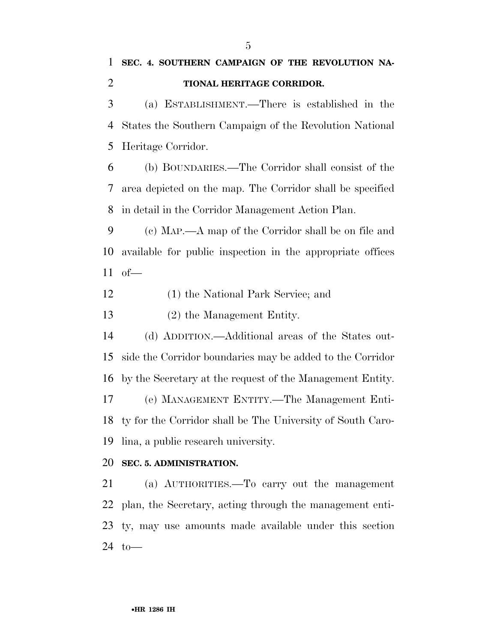(a) ESTABLISHMENT.—There is established in the States the Southern Campaign of the Revolution National Heritage Corridor.

 (b) BOUNDARIES.—The Corridor shall consist of the area depicted on the map. The Corridor shall be specified in detail in the Corridor Management Action Plan.

 (c) MAP.—A map of the Corridor shall be on file and available for public inspection in the appropriate offices of—

(1) the National Park Service; and

(2) the Management Entity.

 (d) ADDITION.—Additional areas of the States out- side the Corridor boundaries may be added to the Corridor by the Secretary at the request of the Management Entity. (e) MANAGEMENT ENTITY.—The Management Enti-ty for the Corridor shall be The University of South Caro-

lina, a public research university.

#### **SEC. 5. ADMINISTRATION.**

 (a) AUTHORITIES.—To carry out the management plan, the Secretary, acting through the management enti- ty, may use amounts made available under this section to—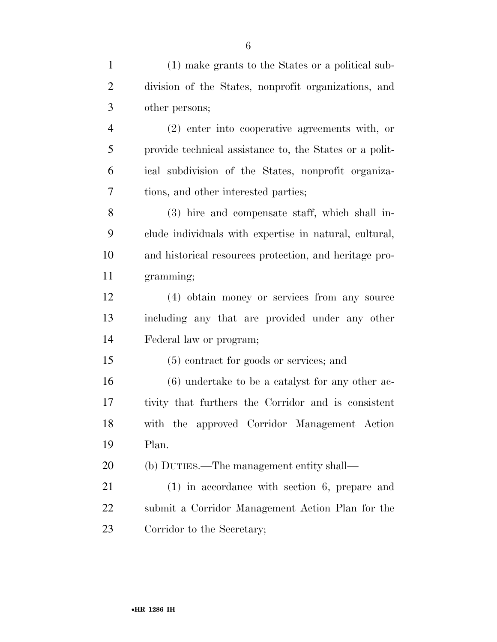| $\mathbf{1}$   | (1) make grants to the States or a political sub-       |
|----------------|---------------------------------------------------------|
| $\overline{2}$ | division of the States, nonprofit organizations, and    |
| 3              | other persons;                                          |
| $\overline{4}$ | (2) enter into cooperative agreements with, or          |
| 5              | provide technical assistance to, the States or a polit- |
| 6              | ical subdivision of the States, nonprofit organiza-     |
| 7              | tions, and other interested parties;                    |
| 8              | (3) hire and compensate staff, which shall in-          |
| 9              | clude individuals with expertise in natural, cultural,  |
| 10             | and historical resources protection, and heritage pro-  |
| 11             | gramming;                                               |
| 12             | (4) obtain money or services from any source            |
| 13             | including any that are provided under any other         |
| 14             | Federal law or program;                                 |
| 15             | (5) contract for goods or services; and                 |
| 16             | $(6)$ undertake to be a catalyst for any other ac-      |
| 17             | tivity that furthers the Corridor and is consistent     |
| 18             | with the approved Corridor Management Action            |
| 19             | Plan.                                                   |
| 20             | (b) DUTIES.—The management entity shall—                |
| 21             | $(1)$ in accordance with section 6, prepare and         |
| 22             | submit a Corridor Management Action Plan for the        |

Corridor to the Secretary;

•**HR 1286 IH**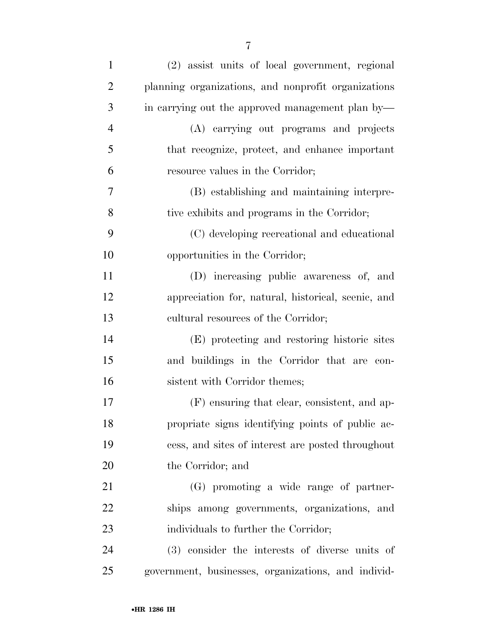| $\mathbf{1}$   | (2) assist units of local government, regional      |
|----------------|-----------------------------------------------------|
| $\overline{2}$ | planning organizations, and nonprofit organizations |
| 3              | in carrying out the approved management plan by—    |
| $\overline{4}$ | (A) carrying out programs and projects              |
| 5              | that recognize, protect, and enhance important      |
| 6              | resource values in the Corridor;                    |
| 7              | (B) establishing and maintaining interpre-          |
| 8              | tive exhibits and programs in the Corridor;         |
| 9              | (C) developing recreational and educational         |
| 10             | opportunities in the Corridor;                      |
| 11             | (D) increasing public awareness of, and             |
| 12             | appreciation for, natural, historical, scenic, and  |
| 13             | cultural resources of the Corridor;                 |
| 14             | (E) protecting and restoring historic sites         |
| 15             | and buildings in the Corridor that are con-         |
| 16             | sistent with Corridor themes;                       |
| 17             | (F) ensuring that clear, consistent, and ap-        |
| 18             | propriate signs identifying points of public ac-    |
| 19             | cess, and sites of interest are posted throughout   |
| 20             | the Corridor; and                                   |
| 21             | (G) promoting a wide range of partner-              |
| 22             | ships among governments, organizations, and         |
| 23             | individuals to further the Corridor;                |
| 24             | (3) consider the interests of diverse units of      |
| 25             | government, businesses, organizations, and individ- |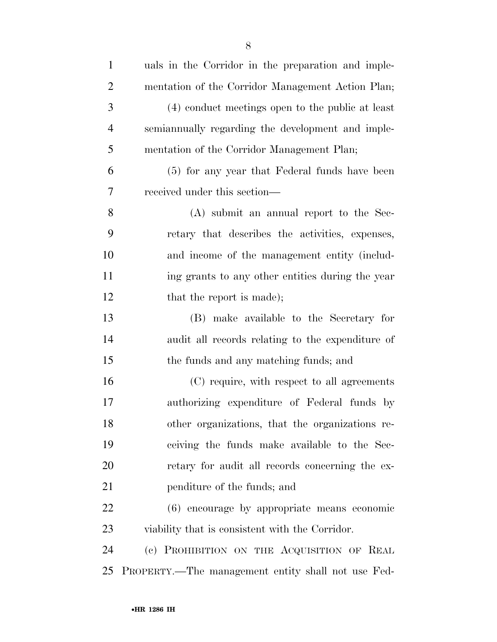| $\mathbf{1}$   | uals in the Corridor in the preparation and imple- |
|----------------|----------------------------------------------------|
| $\mathfrak{2}$ | mentation of the Corridor Management Action Plan;  |
| 3              | (4) conduct meetings open to the public at least   |
| $\overline{4}$ | semianmually regarding the development and imple-  |
| 5              | mentation of the Corridor Management Plan;         |
| 6              | (5) for any year that Federal funds have been      |
| 7              | received under this section—                       |
| 8              | (A) submit an annual report to the Sec-            |
| 9              | retary that describes the activities, expenses,    |
| 10             | and income of the management entity (includ-       |
| 11             | ing grants to any other entities during the year   |
| 12             | that the report is made);                          |
| 13             | (B) make available to the Secretary for            |
| 14             | audit all records relating to the expenditure of   |
| 15             | the funds and any matching funds; and              |
| 16             | (C) require, with respect to all agreements        |
| 17             | authorizing expenditure of Federal funds by        |
| 18             | other organizations, that the organizations re-    |
| 19             | ceiving the funds make available to the Sec-       |
| 20             | retary for audit all records concerning the ex-    |
| 21             | penditure of the funds; and                        |
| 22             | (6) encourage by appropriate means economic        |
| 23             | viability that is consistent with the Corridor.    |
| 24             | (c) PROHIBITION ON THE ACQUISITION OF REAL         |
| 25             | PROPERTY.—The management entity shall not use Fed- |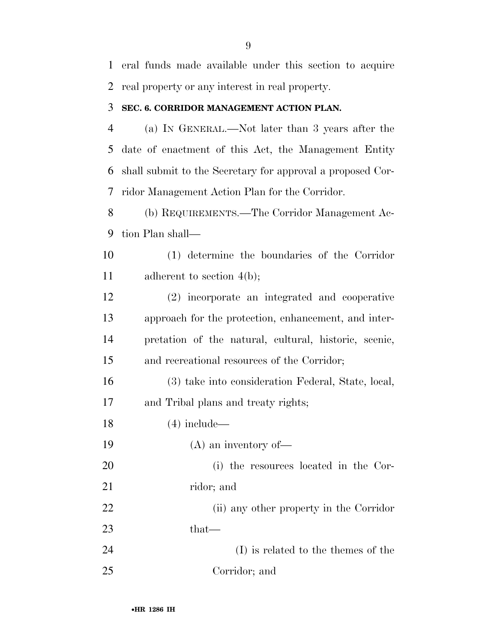eral funds made available under this section to acquire real property or any interest in real property.

#### **SEC. 6. CORRIDOR MANAGEMENT ACTION PLAN.**

 (a) IN GENERAL.—Not later than 3 years after the date of enactment of this Act, the Management Entity shall submit to the Secretary for approval a proposed Cor-ridor Management Action Plan for the Corridor.

 (b) REQUIREMENTS.—The Corridor Management Ac-tion Plan shall—

 (1) determine the boundaries of the Corridor 11 adherent to section 4(b);

 (2) incorporate an integrated and cooperative approach for the protection, enhancement, and inter- pretation of the natural, cultural, historic, scenic, and recreational resources of the Corridor;

 (3) take into consideration Federal, State, local, and Tribal plans and treaty rights;

(4) include—

(A) an inventory of—

 (i) the resources located in the Cor-21 ridor; and

 (ii) any other property in the Corridor that—

 (I) is related to the themes of the Corridor; and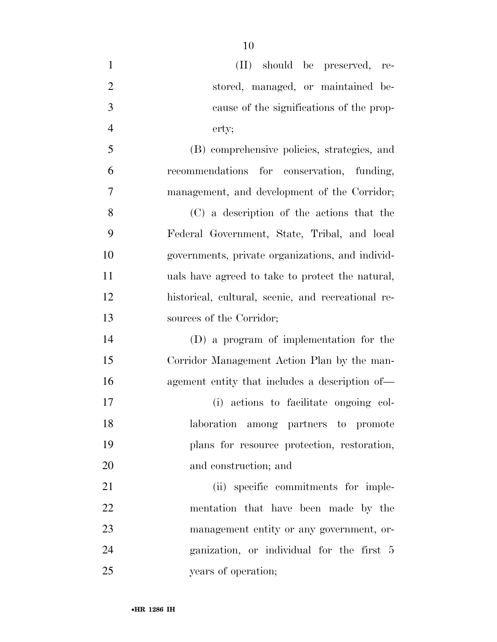| $\mathbf{1}$   | (II) should be preserved, re-                      |
|----------------|----------------------------------------------------|
| $\overline{2}$ | stored, managed, or maintained be-                 |
| 3              | cause of the significations of the prop-           |
| $\overline{4}$ | erty;                                              |
| 5              | (B) comprehensive policies, strategies, and        |
| 6              | recommendations for conservation, funding,         |
| $\overline{7}$ | management, and development of the Corridor;       |
| 8              | (C) a description of the actions that the          |
| 9              | Federal Government, State, Tribal, and local       |
| 10             | governments, private organizations, and individ-   |
| 11             | uals have agreed to take to protect the natural,   |
| 12             | historical, cultural, scenic, and recreational re- |
| 13             | sources of the Corridor;                           |
| 14             | (D) a program of implementation for the            |
| 15             | Corridor Management Action Plan by the man-        |
| 16             | agement entity that includes a description of—     |
| 17             | (i) actions to facilitate ongoing col-             |
| 18             | laboration among partners to promote               |
| 19             | plans for resource protection, restoration,        |
| 20             | and construction; and                              |
| 21             | (ii) specific commitments for imple-               |
| 22             | mentation that have been made by the               |
| 23             | management entity or any government, or-           |
| 24             | ganization, or individual for the first 5          |
| 25             | years of operation;                                |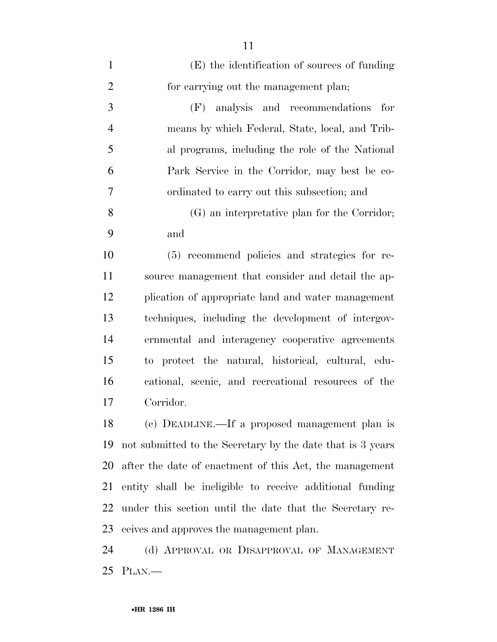| $\mathbf{1}$   | (E) the identification of sources of funding               |
|----------------|------------------------------------------------------------|
| $\overline{2}$ | for carrying out the management plan;                      |
| 3              | analysis and recommendations<br>(F)<br>for                 |
| $\overline{4}$ | means by which Federal, State, local, and Trib-            |
| 5              | al programs, including the role of the National            |
| 6              | Park Service in the Corridor, may best be co-              |
| 7              | ordinated to carry out this subsection; and                |
| 8              | (G) an interpretative plan for the Corridor;               |
| 9              | and                                                        |
| 10             | (5) recommend policies and strategies for re-              |
| 11             | source management that consider and detail the ap-         |
| 12             | plication of appropriate land and water management         |
| 13             | techniques, including the development of intergov-         |
| 14             | ernmental and interagency cooperative agreements           |
| 15             | to protect the natural, historical, cultural, edu-         |
| 16             | cational, scenic, and recreational resources of the        |
| 17             | Corridor.                                                  |
| 18             | (c) DEADLINE.—If a proposed management plan is             |
| 19             | not submitted to the Secretary by the date that is 3 years |
| 20             | after the date of enactment of this Act, the management    |
| 21             | entity shall be ineligible to receive additional funding   |
| 22             | under this section until the date that the Secretary re-   |
| 23             | ceives and approves the management plan.                   |
| 24             | (d) APPROVAL OR DISAPPROVAL OF MANAGEMENT                  |
| 25             | $PLAN$ .                                                   |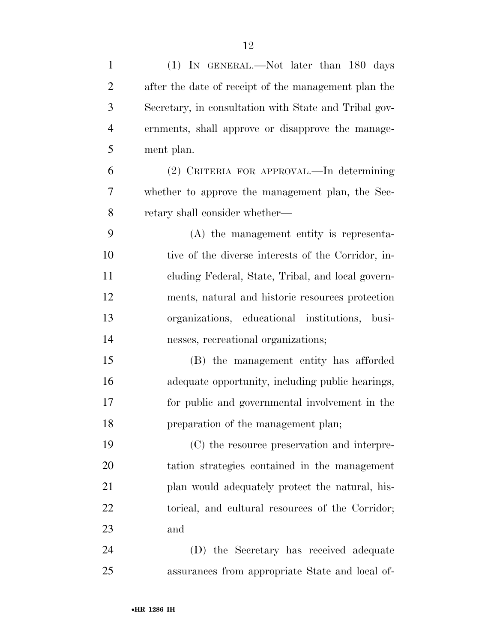| $\mathbf{1}$   | (1) IN GENERAL.—Not later than 180 days               |
|----------------|-------------------------------------------------------|
| $\overline{2}$ | after the date of receipt of the management plan the  |
| 3              | Secretary, in consultation with State and Tribal gov- |
| 4              | ernments, shall approve or disapprove the manage-     |
| 5              | ment plan.                                            |
| 6              | (2) CRITERIA FOR APPROVAL.—In determining             |
| 7              | whether to approve the management plan, the Sec-      |
| 8              | retary shall consider whether—                        |
| 9              | (A) the management entity is representa-              |
| 10             | tive of the diverse interests of the Corridor, in-    |
| 11             | cluding Federal, State, Tribal, and local govern-     |
| 12             | ments, natural and historic resources protection      |
| 13             | organizations, educational institutions, busi-        |
| 14             | nesses, recreational organizations;                   |
| 15             | (B) the management entity has afforded                |
| 16             | adequate opportunity, including public hearings,      |
| 17             | for public and governmental involvement in the        |
| 18             | preparation of the management plan;                   |
| 19             | (C) the resource preservation and interpre-           |
| 20             | tation strategies contained in the management         |
| 21             | plan would adequately protect the natural, his-       |
| 22             | torical, and cultural resources of the Corridor;      |
| 23             | and                                                   |
| 24             | (D) the Secretary has received adequate               |
| 25             | assurances from appropriate State and local of-       |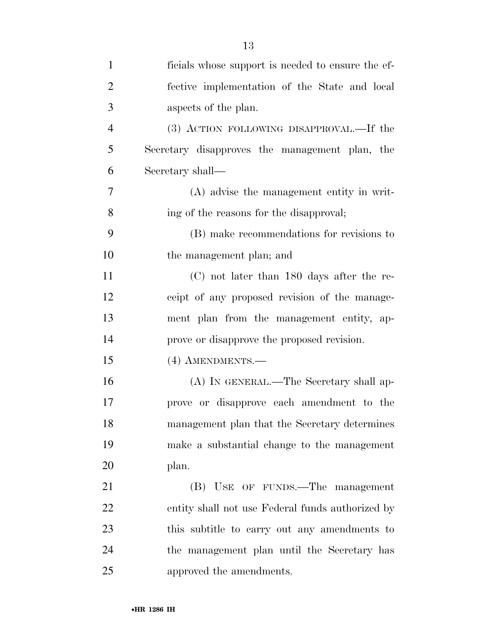| $\mathbf{1}$   | ficials whose support is needed to ensure the ef- |
|----------------|---------------------------------------------------|
| $\overline{2}$ | fective implementation of the State and local     |
| 3              | aspects of the plan.                              |
| $\overline{4}$ | (3) ACTION FOLLOWING DISAPPROVAL.—If the          |
| 5              | Secretary disapproves the management plan, the    |
| 6              | Secretary shall—                                  |
| $\overline{7}$ | (A) advise the management entity in writ-         |
| 8              | ing of the reasons for the disapproval;           |
| 9              | (B) make recommendations for revisions to         |
| 10             | the management plan; and                          |
| 11             | $(C)$ not later than 180 days after the re-       |
| 12             | ceipt of any proposed revision of the manage-     |
| 13             | ment plan from the management entity, ap-         |
| 14             | prove or disapprove the proposed revision.        |
| 15             | (4) AMENDMENTS.—                                  |
| 16             | (A) IN GENERAL.—The Secretary shall ap-           |
| 17             | prove or disapprove each amendment to the         |
| 18             | management plan that the Secretary determines     |
| 19             | make a substantial change to the management       |
| 20             | plan.                                             |
| 21             | (B) USE OF FUNDS.—The management                  |
| 22             | entity shall not use Federal funds authorized by  |
| 23             | this subtitle to carry out any amendments to      |
| 24             | the management plan until the Secretary has       |
| 25             | approved the amendments.                          |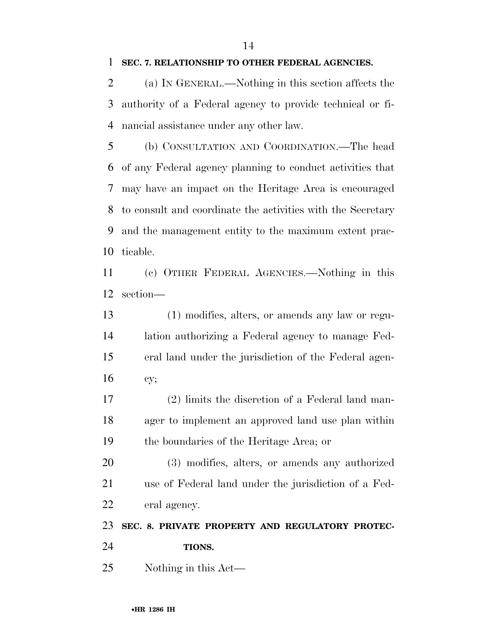#### **SEC. 7. RELATIONSHIP TO OTHER FEDERAL AGENCIES.**

 (a) IN GENERAL.—Nothing in this section affects the authority of a Federal agency to provide technical or fi-nancial assistance under any other law.

 (b) CONSULTATION AND COORDINATION.—The head of any Federal agency planning to conduct activities that may have an impact on the Heritage Area is encouraged to consult and coordinate the activities with the Secretary and the management entity to the maximum extent prac-ticable.

 (c) OTHER FEDERAL AGENCIES.—Nothing in this section—

 (1) modifies, alters, or amends any law or regu- lation authorizing a Federal agency to manage Fed- eral land under the jurisdiction of the Federal agen-cy;

 (2) limits the discretion of a Federal land man- ager to implement an approved land use plan within the boundaries of the Heritage Area; or

 (3) modifies, alters, or amends any authorized use of Federal land under the jurisdiction of a Fed-eral agency.

**SEC. 8. PRIVATE PROPERTY AND REGULATORY PROTEC-**

- **TIONS.**
- Nothing in this Act—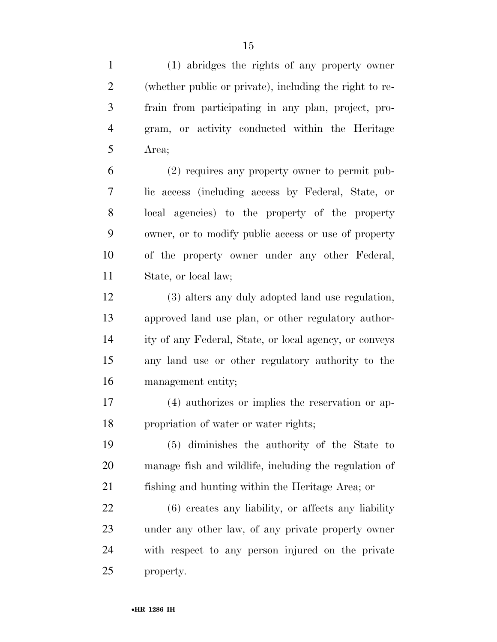(1) abridges the rights of any property owner (whether public or private), including the right to re- frain from participating in any plan, project, pro- gram, or activity conducted within the Heritage Area;

 (2) requires any property owner to permit pub- lic access (including access by Federal, State, or local agencies) to the property of the property owner, or to modify public access or use of property of the property owner under any other Federal, State, or local law;

 (3) alters any duly adopted land use regulation, approved land use plan, or other regulatory author- ity of any Federal, State, or local agency, or conveys any land use or other regulatory authority to the management entity;

 (4) authorizes or implies the reservation or ap-propriation of water or water rights;

 (5) diminishes the authority of the State to manage fish and wildlife, including the regulation of fishing and hunting within the Heritage Area; or

 (6) creates any liability, or affects any liability under any other law, of any private property owner with respect to any person injured on the private property.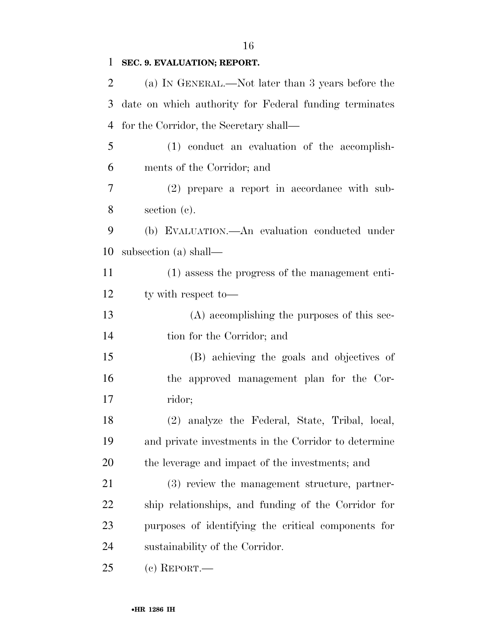## **SEC. 9. EVALUATION; REPORT.**

| 2      | (a) IN GENERAL.—Not later than 3 years before the      |
|--------|--------------------------------------------------------|
| 3      | date on which authority for Federal funding terminates |
| 4      | for the Corridor, the Secretary shall—                 |
| 5      | (1) conduct an evaluation of the accomplish-           |
| 6      | ments of the Corridor; and                             |
| $\tau$ | (2) prepare a report in accordance with sub-           |
| 8      | section $(c)$ .                                        |
| 9      | (b) EVALUATION.—An evaluation conducted under          |
| 10     | subsection (a) shall—                                  |
| 11     | (1) assess the progress of the management enti-        |
| 12     | ty with respect to-                                    |
| 13     | (A) accomplishing the purposes of this sec-            |
| 14     | tion for the Corridor; and                             |
| 15     | (B) achieving the goals and objectives of              |
| 16     | the approved management plan for the Cor-              |
| 17     | ridor;                                                 |
| 18     | (2) analyze the Federal, State, Tribal, local,         |
| 19     | and private investments in the Corridor to determine   |
| 20     | the leverage and impact of the investments; and        |
| 21     | (3) review the management structure, partner-          |
| 22     | ship relationships, and funding of the Corridor for    |
| 23     | purposes of identifying the critical components for    |
| 24     | sustainability of the Corridor.                        |
| 25     | $(c)$ REPORT.—                                         |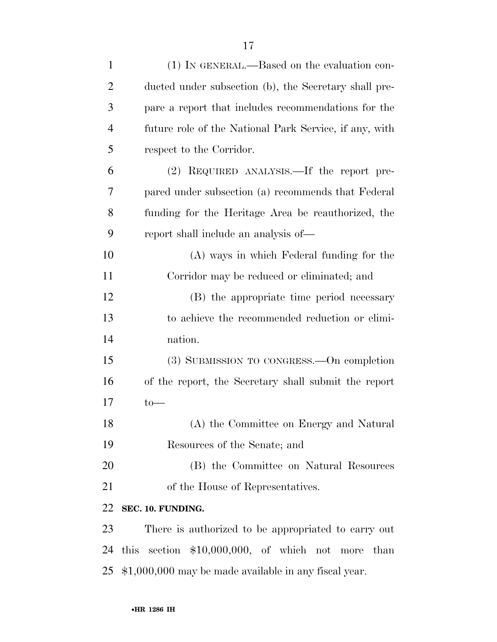| $\mathbf{1}$   | (1) IN GENERAL.—Based on the evaluation con-           |
|----------------|--------------------------------------------------------|
| $\overline{2}$ | ducted under subsection (b), the Secretary shall pre-  |
| 3              | pare a report that includes recommendations for the    |
| $\overline{4}$ | future role of the National Park Service, if any, with |
| 5              | respect to the Corridor.                               |
| 6              | (2) REQUIRED ANALYSIS.—If the report pre-              |
| 7              | pared under subsection (a) recommends that Federal     |
| 8              | funding for the Heritage Area be reauthorized, the     |
| 9              | report shall include an analysis of—                   |
| 10             | (A) ways in which Federal funding for the              |
| 11             | Corridor may be reduced or eliminated; and             |
| 12             | (B) the appropriate time period necessary              |
| 13             | to achieve the recommended reduction or elimi-         |
| 14             | nation.                                                |
| 15             | (3) SUBMISSION TO CONGRESS.—On completion              |
| 16             | of the report, the Secretary shall submit the report   |
| 17             | $to-$                                                  |
| 18             | (A) the Committee on Energy and Natural                |
| 19             | Resources of the Senate; and                           |
| 20             | (B) the Committee on Natural Resources                 |
| 21             | of the House of Representatives.                       |
| 22             | SEC. 10. FUNDING.                                      |
| 23             | There is authorized to be appropriated to carry out    |
| 24             | this section $$10,000,000$ , of which not more<br>than |
| 25             | \$1,000,000 may be made available in any fiscal year.  |